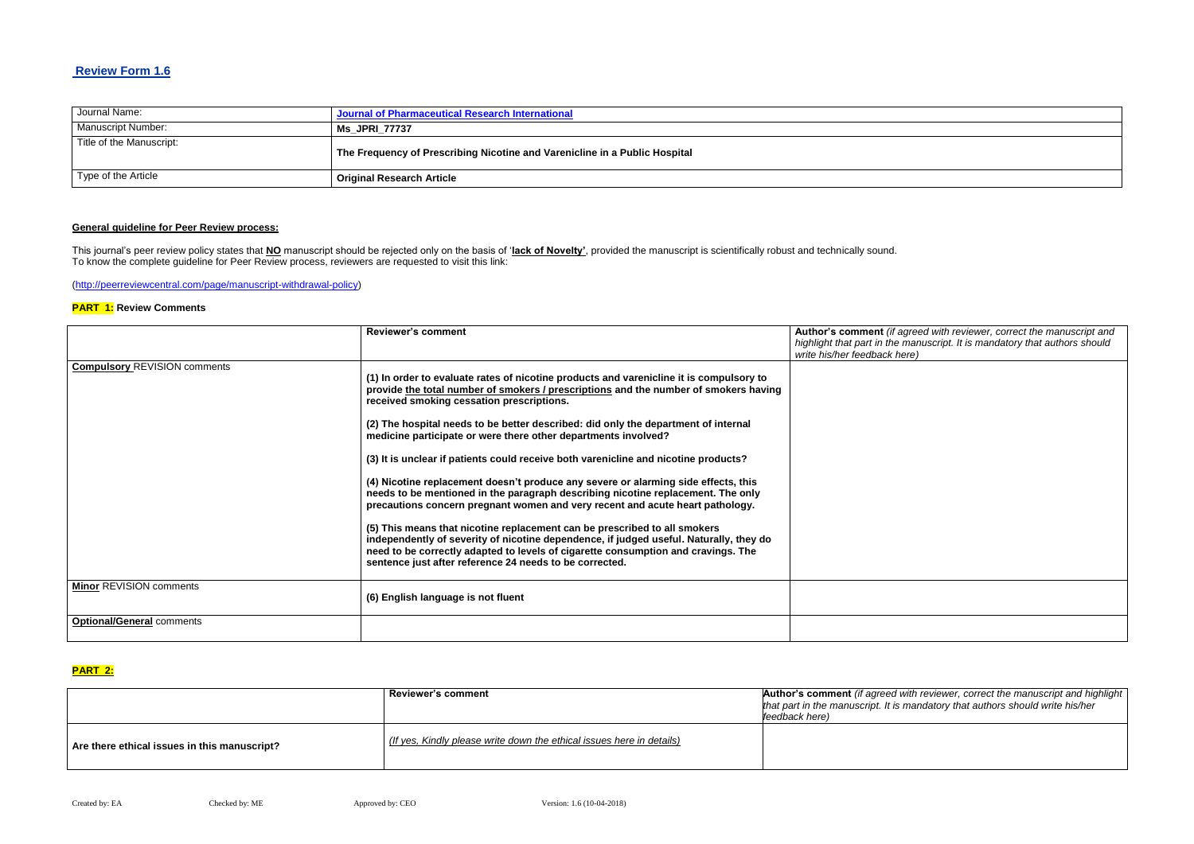### **Review Form 1.6**

| Journal Name:            | Journal of Pharmaceutical Research International                           |
|--------------------------|----------------------------------------------------------------------------|
| Manuscript Number:       | <b>Ms JPRI 77737</b>                                                       |
| Title of the Manuscript: | The Frequency of Prescribing Nicotine and Varenicline in a Public Hospital |
| Type of the Article      | <b>Original Research Article</b>                                           |

### **General guideline for Peer Review process:**

This journal's peer review policy states that **NO** manuscript should be rejected only on the basis of '**lack of Novelty'**, provided the manuscript is scientifically robust and technically sound. To know the complete guideline for Peer Review process, reviewers are requested to visit this link:

[\(http://peerreviewcentral.com/page/manuscript-withdrawal-policy\)](http://peerreviewcentral.com/page/manuscript-withdrawal-policy)

#### **PART 1: Review Comments**

> **Reviewer's comment Author's comment** *(if agreed with reviewer, correct the manuscript and highlight that authors should write his/her*

|                                     | <b>Reviewer's comment</b>                                                               | Author's comment (if agreed with reviewer, correct the manuscript and      |
|-------------------------------------|-----------------------------------------------------------------------------------------|----------------------------------------------------------------------------|
|                                     |                                                                                         | highlight that part in the manuscript. It is mandatory that authors should |
|                                     |                                                                                         | write his/her feedback here)                                               |
| <b>Compulsory REVISION comments</b> |                                                                                         |                                                                            |
|                                     | (1) In order to evaluate rates of nicotine products and varenicline it is compulsory to |                                                                            |
|                                     | provide the total number of smokers / prescriptions and the number of smokers having    |                                                                            |
|                                     | received smoking cessation prescriptions.                                               |                                                                            |
|                                     |                                                                                         |                                                                            |
|                                     | (2) The hospital needs to be better described: did only the department of internal      |                                                                            |
|                                     | medicine participate or were there other departments involved?                          |                                                                            |
|                                     |                                                                                         |                                                                            |
|                                     | (3) It is unclear if patients could receive both varenicline and nicotine products?     |                                                                            |
|                                     | (4) Nicotine replacement doesn't produce any severe or alarming side effects, this      |                                                                            |
|                                     | needs to be mentioned in the paragraph describing nicotine replacement. The only        |                                                                            |
|                                     | precautions concern pregnant women and very recent and acute heart pathology.           |                                                                            |
|                                     |                                                                                         |                                                                            |
|                                     | (5) This means that nicotine replacement can be prescribed to all smokers               |                                                                            |
|                                     | independently of severity of nicotine dependence, if judged useful. Naturally, they do  |                                                                            |
|                                     | need to be correctly adapted to levels of cigarette consumption and cravings. The       |                                                                            |
|                                     | sentence just after reference 24 needs to be corrected.                                 |                                                                            |
|                                     |                                                                                         |                                                                            |
| <b>Minor REVISION comments</b>      |                                                                                         |                                                                            |
|                                     | (6) English language is not fluent                                                      |                                                                            |
|                                     |                                                                                         |                                                                            |
| <b>Optional/General comments</b>    |                                                                                         |                                                                            |
|                                     |                                                                                         |                                                                            |

#### **PART 2:**

|                                              | <b>Reviewer's comment</b>                                             | <b>Author's comment (if agreed v</b><br>that part in the manuscript. It is<br>feedback here) |
|----------------------------------------------|-----------------------------------------------------------------------|----------------------------------------------------------------------------------------------|
| Are there ethical issues in this manuscript? | (If yes, Kindly please write down the ethical issues here in details) |                                                                                              |